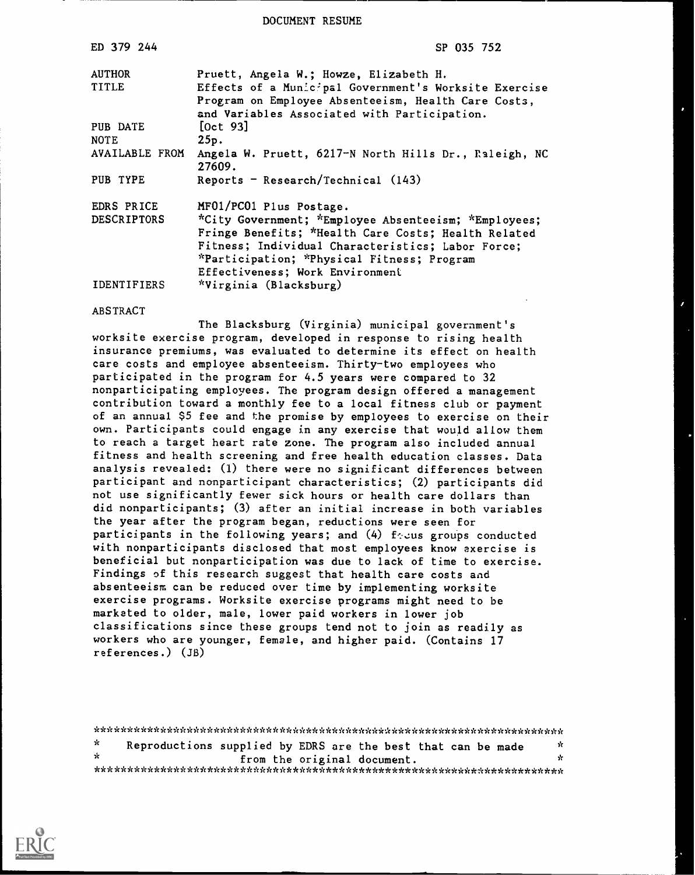DOCUMENT RESUME

| ED 379 244         | SP 035 752                                               |
|--------------------|----------------------------------------------------------|
| <b>AUTHOR</b>      | Pruett, Angela W.; Howze, Elizabeth H.                   |
| <b>TITLE</b>       | Effects of a Municipal Government's Worksite Exercise    |
|                    | Program on Employee Absenteeism, Health Care Costs,      |
| PUB DATE           | and Variables Associated with Participation.<br>[Oct 93] |
| <b>NOTE</b>        | 25p.                                                     |
| AVAILABLE FROM     | Angela W. Pruett, 6217-N North Hills Dr., Raleigh, NC    |
| PUB TYPE           | 27609.<br>Reports - Research/Technical $(143)$           |
|                    |                                                          |
| EDRS PRICE         | MF01/PC01 Plus Postage.                                  |
| <b>DESCRIPTORS</b> | *City Government; *Employee Absenteeism; *Employees;     |
|                    | Fringe Benefits; *Health Care Costs; Health Related      |
|                    | Fitness; Individual Characteristics; Labor Force;        |
|                    | *Participation; *Physical Fitness; Program               |
|                    | Effectiveness; Work Environment                          |
| <b>IDENTIFIERS</b> | *Virginia (Blacksburg)                                   |

#### ABSTRACT

The Blacksburg (Virginia) municipal government's worksite exercise program, developed in response to rising health insurance premiums, was evaluated to determine its effect on health care costs and employee absenteeism. Thirty-two employees who participated in the program for 4.5 years were compared to 32 nonparticipating employees. The program design offered a management contribution toward a monthly fee to a local fitness club or payment of an annual \$5 fee and the promise by employees to exercise on their own. Participants could engage in any exercise that would allow them to reach a target heart rate zone. The program also included annual fitness and health screening and free health education classes. Data analysis revealed: (1) there were no significant differences between participant and nonparticipant characteristics; (2) participants did not use significantly fewer sick hours or health care dollars than did nonparticipants; (3) after an initial increase in both variables the year after the program began, reductions were seen for participants in the following years; and  $(4)$  fecus groups conducted with nonparticipants disclosed that most employees know exercise is beneficial but nonparticipation was due to lack of time to exercise. Findings of this research suggest that health care costs and absenteeism can be reduced over time by implementing worksite exercise programs. Worksite exercise programs might need to be marketed to older, male, lower paid workers in lower job classifications since these groups tend not to join as readily as workers who are younger, female, and higher paid. (Contains 17 references.) (JB)

\*\*\*\*\*\*\*\*\*\*\*\*\*\*\*\*\*\*\*\*\*\*\*\*\*\*\*\*\*\*\*\*\*\*\*\*\*\*\*\*\*\*\*\*\*\*\*\*\*\*\*\*\*\*\*\*\*\*\*\*\*\*\*\*\*\*\*\*\*\*\* -ic Reproductions supplied by EDRS are the best that can be made \* from the original document. \*\*\*\*\*\*\*\*\*\*\*\*\*\*\*\*\*\*\*\*\*\*\*\*\*\*\*\*\*\*\*\*\*\*\*\*\*\*\*\*\*\*\*\*\*\*\*\*\*\*\*\*\*\*\*\*\*\*\*\*\*\*\*\*\*\*\*\*\*\*\*

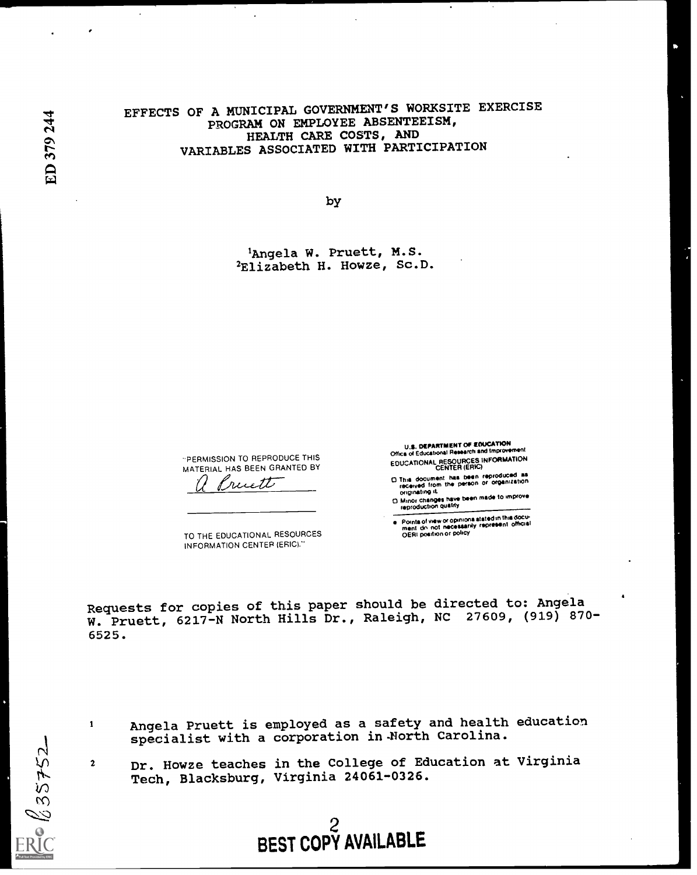$\ddot{\phantom{a}}$ 

## EFFECTS OF A MUNICIPAL GOVERNMENT'S WORKSITE EXERCISE PROGRAM ON EMPLOYEE ABSENTEEISM, HEALTH CARE COSTS, AND VARIABLES ASSOCIATED WITH PARTICIPATION

by

'Angela W. Pruett, M.S. <sup>2</sup>Elizabeth H. Howze, Sc.D.

-PERMISSION TO REPRODUCE THIS MATERIAL HAS BEEN GRANTED BY

ruett

TO THE EDUCATIONAL RESOURCES INFORMATION CENTER (ERIC)."

U.S. DEPARTMENT OP ELFUCATION<br>Office of Educational Research and improvement EDUCATIONAL RESOURCES INFORMATION CENTER (ERIC)

D This document has been reproduced as<br>received from the person or organization<br>originating it

D Minor changes have been made to improve<br>reproduction quality

Points of view or opinions stated in this docu-<br>ment, do, not, necessarily, represent, official<br>OERI poeition or policy

Requests for copies of this paper should be directed to: Angela W. Pruett, 6217-N North Hills Dr., Raleigh, NC 27609, (919) 870-6525.

35752

1

- Angela Pruett is employed as a safety and health education specialist with a corporation in-North Carolina.
- Dr. Howze teaches in the College of Education at VirginiaTech, Blacksburg, Virginia 24061-0326.

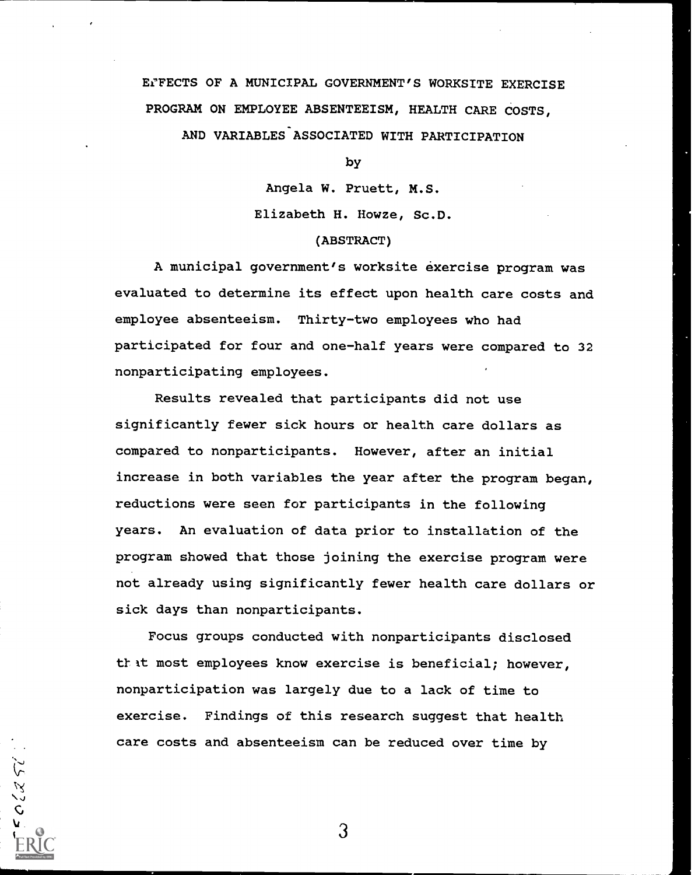# EfFECTS OF A MUNICIPAL GOVERNMENT'S WORKSITE EXERCISE PROGRAM ON EMPLOYEE ABSENTEEISM, HEALTH CARE COSTS,

AND VARIABLES ASSOCIATED WITH PARTICIPATION

by

Angela W. Pruett, M.S. Elizabeth H. Howze, Sc.D.

#### (ABSTRACT)

A municipal government's worksite exercise program was evaluated to determine its effect upon health care costs and employee absenteeism. Thirty-two employees who had participated for four and one-half years were compared to 32 nonparticipating employees.

Results revealed that participants did not use significantly fewer sick hours or health care dollars as compared to nonparticipants. However, after an initial increase in both variables the year after the program began, reductions were seen for participants in the following years. An evaluation of data prior to installation of the program showed that those joining the exercise program were not already using significantly fewer health care dollars or sick days than nonparticipants.

Focus groups conducted with nonparticipants disclosed that most employees know exercise is beneficial; however, nonparticipation was largely due to a lack of time to exercise. Findings of this research suggest that health care costs and absenteeism can be reduced over time by

3

 $5520.$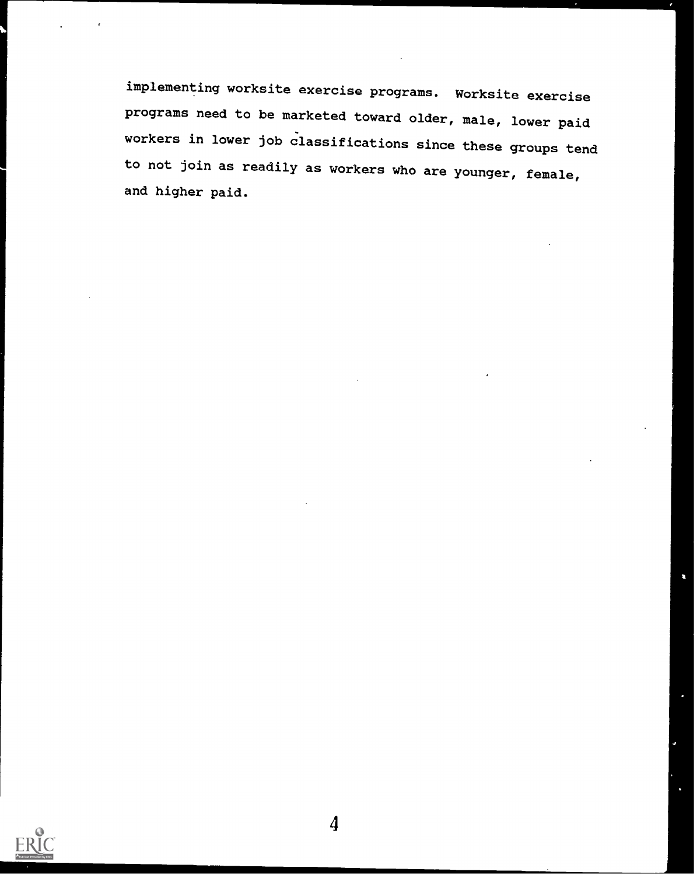implementing worksite exercise programs. Worksite exercise programs need to be marketed toward older, male, lower paid workers in lower job classifications since these groups tend to not join as readily as workers who are younger, female, and higher paid.

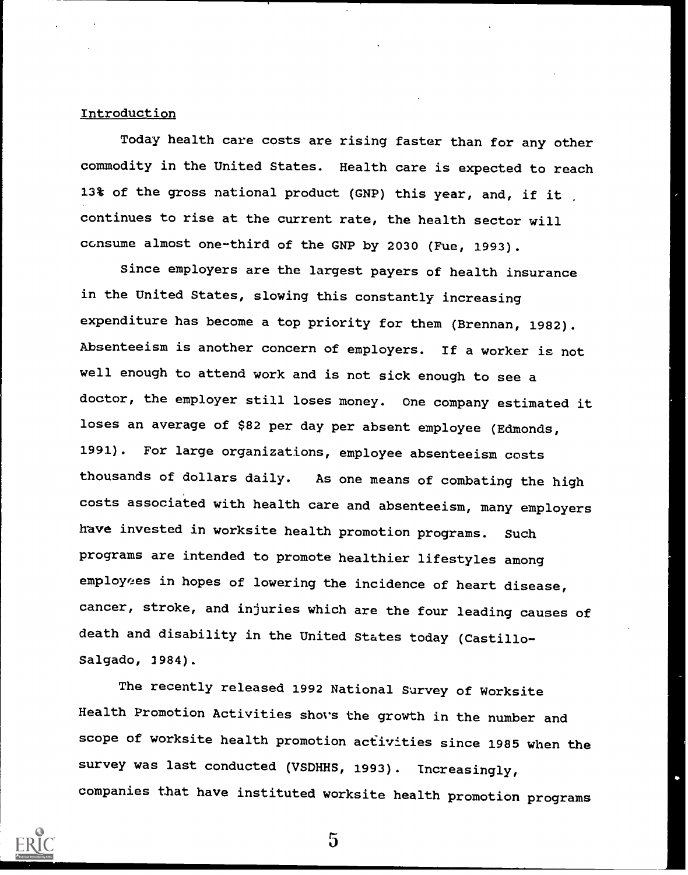#### Introduction

Today health care costs are rising faster than for any other commodity in the United States. Health care is expected to reach 13% of the gross national product (GNP) this year, and, if it continues to rise at the current rate, the health sector will consume almost one-third of the GNP by 2030 (Fue, 1993).

Since employers are the largest payers of health insurance in the United States, slowing this constantly increasing expenditure has become a top priority for them (Brennan, 1982). Absenteeism is another concern of employers. If a worker is not well enough to attend work and is not sick enough to see a doctor, the employer still loses money. One company estimated it loses an average of \$82 per day per absent employee (Edmonds, 1991). For large organizations, employee absenteeism costs thousands of dollars daily. As one means of combating the high costs associated with health care and absenteeism, many employers have invested in worksite health promotion programs. Such programs are intended to promote healthier lifestyles among employees in hopes of lowering the incidence of heart disease, cancer, stroke, and injuries which are the four leading causes of death and disability in the United States today (Castillo-Salgado, 1984).

The recently released 1992 National Survey of Worksite Health Promotion Activities shays the growth in the number and scope of worksite health promotion activities since 1985 when the survey was last conducted (VSDHHS, 1993). Increasingly, companies that have instituted worksite health promotion programs



 $\overline{5}$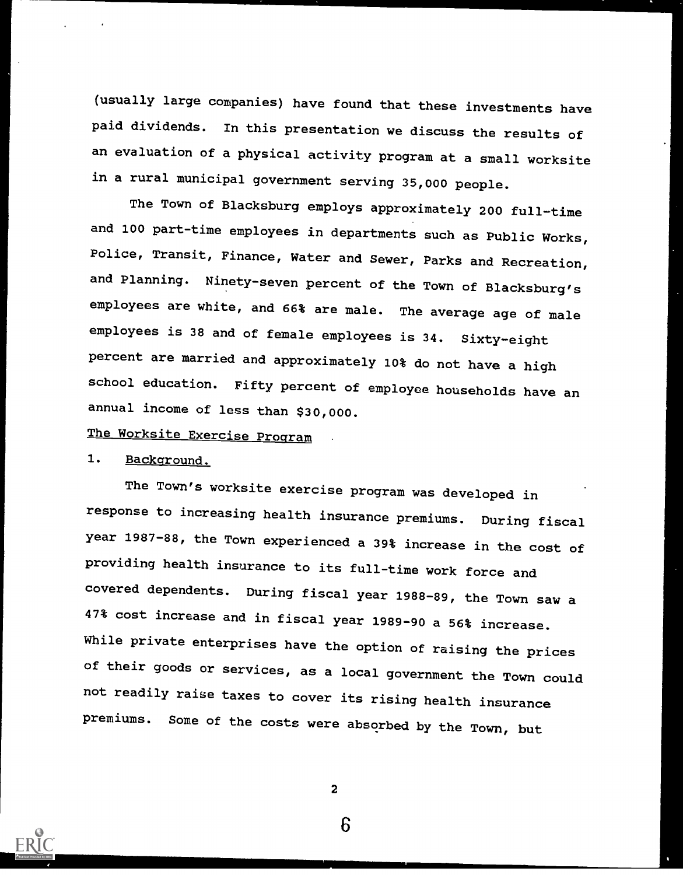(usually large companies) have found that these investments have paid dividends. In this presentation we discuss the results of an evaluation of a physical activity program at a small worksite in a rural municipal government serving 35,000 people.

The Town of Blacksburg employs approximately 200 full-time and 100 part-time employees in departments such as Public Works, Police, Transit, Finance, Water and Sewer, Parks and Recreation, and Planning. Ninety-seven percent of the Town of Blacksburg's employees are white, and 66% are male. The average age of male employees is 38 and of female employees is 34. Sixty-eight percent are married and approximately 10% do not have a high school education. Fifty percent of employee households have an annual income of less than \$30,000.

# The Worksite Exercise Program

## 1. Background.

The Town's worksite exercise program was developed in response to increasing health insurance premiums. During fiscal year 1987-88, the Town experienced a 39% increase in the cost of providing health insurance to its full-time work force and covered dependents. During fiscal year 1988-89, the Town saw a 47% cost increase and in fiscal year 1989-90 a 56% increase. While private enterprises have the option of raising the prices of their goods or services, as a local government the Town could not readily raise taxes to cover its rising health insurance premiums. Some of the costs were absorbed by the Town, but

2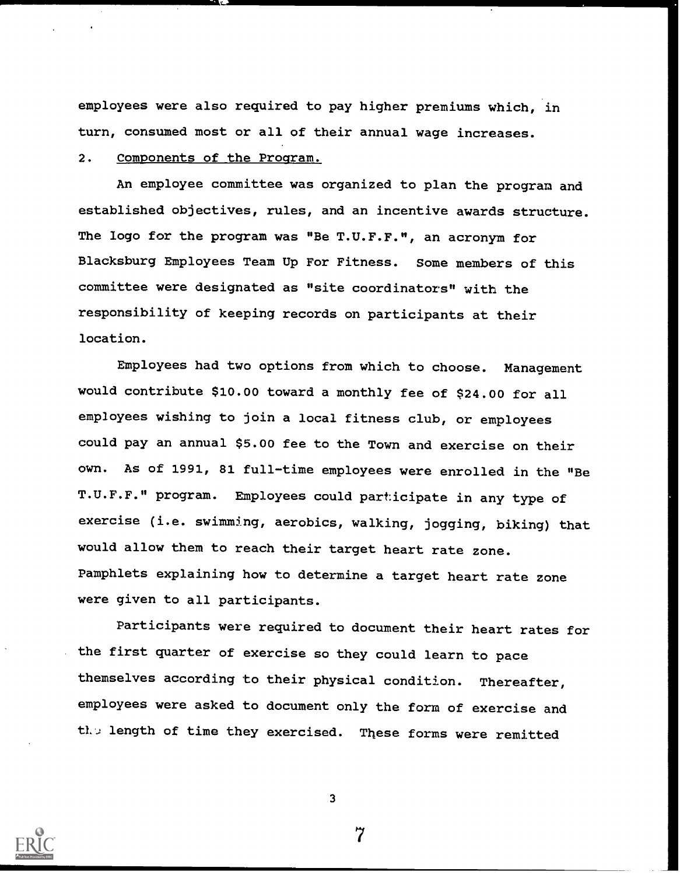employees were also required to pay higher premiums which, in turn, consumed most or all of their annual wage increases.

### 2. Components of the Program.

An employee committee was organized to plan the program and established objectives, rules, and an incentive awards structure. The logo for the program was "Be T.U.F.F.", an acronym for Blacksburg Employees Team Up For Fitness. Some members of this committee were designated as "site coordinators" with the responsibility of keeping records on participants at their location.

Employees had two options from which to choose. Management would contribute \$10.00 toward a monthly fee of \$24.00 for all employees wishing to join a local fitness club, or employees could pay an annual \$5.00 fee to the Town and exercise on their own. As of 1991, 81 full-time employees were enrolled in the "Be T.U.F.F." program. Employees could participate in any type of exercise (i.e. swimming, aerobics, walking, jogging, biking) that would allow them to reach their target heart rate zone. Pamphlets explaining how to determine a target heart rate zone were given to all participants.

Participants were required to document their heart rates for the first quarter of exercise so they could learn to pace themselves according to their physical condition. Thereafter, employees were asked to document only the form of exercise and the length of time they exercised. These forms were remitted



3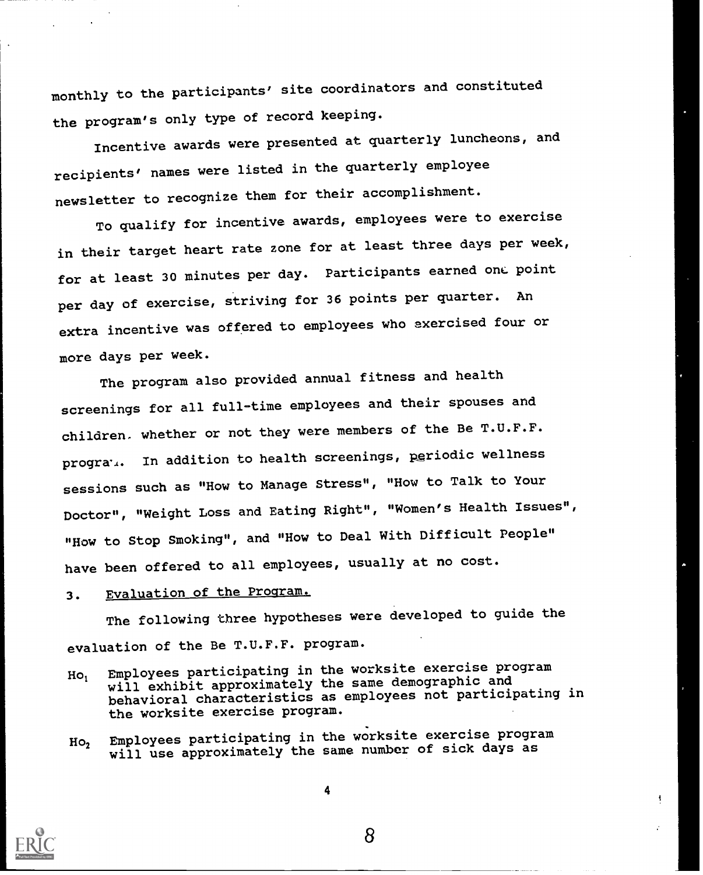monthly to the participants' site coordinators and constituted the program's only type of record keeping.

Incentive awards were presented at quarterly luncheons, and recipients' names were listed in the quarterly employee newsletter to recognize them for their accomplishment.

To qualify for incentive awards, employees were to exercise in their target heart rate zone for at least three days per week, for at least 30 minutes per day. Participants earned onc. point per day of exercise, striving for 36 points per quarter. An extra incentive was offered to employees who exercised four or more days per week.

The program also provided annual fitness and health screenings for all full-time employees and their spouses and children. whether or not they were members of the Be T.U.F.F. progra $\ldots$  In addition to health screenings, periodic wellness sessions such as "How to Manage Stress", "How to Talk to Your Doctor", "Weight Loss and Eating Right", "Women's Health Issues", "How to Stop Smoking", and "How to Deal With Difficult People" have been offered to all employees, usually at no cost.

## 3. Evaluation of the Program.

The following three hypotheses were developed to guide the evaluation of the Be T.U.F.F. program.

- Ho, Employees participating in the worksite exercise program will exhibit approximately the same demographic and behavioral characteristics as employees not participating in the worksite exercise program.
- Ho, Employees participating in the worksite exercise program will use approximately the same number of sick days as



4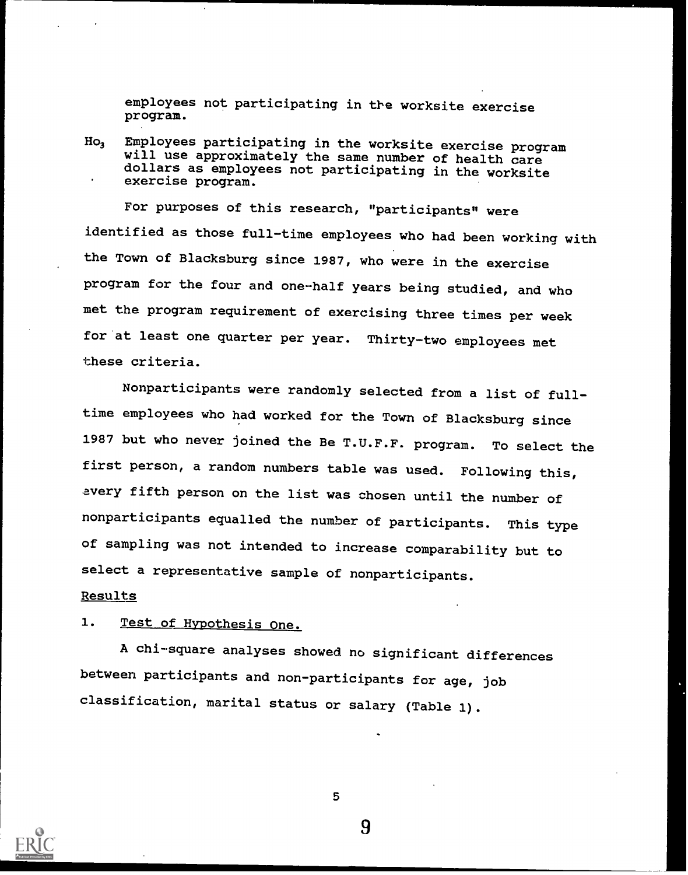employees not participating in the worksite exercise program.

Ho3 Employees participating in the worksite exercise program will use approximately the same number of health care dollars as employees not participating in the worksite exercise program.

For purposes of this research, "participants" were identified as those full-time employees who had been working with the Town of Blacksburg since 1987, who were in the exercise program for the four and one-half years being studied, and who met the program requirement of exercising three times per week for at least one quarter per year. Thirty-two employees met these criteria.

Nonparticipants were randomly selected from a list of fulltime employees who had worked for the Town of Blacksburg since 1987 but who never joined the Be T.U.F.F. program. To select the first person, a random numbers table was used. Following this, every fifth person on the list was chosen until the number of nonparticipants equalled the number of participants. This type of sampling was not intended to increase comparability but to select a representative sample of nonparticipants.

#### Results

## 1. Test of Hypothesis One.

A chi-square analyses showed no significant differences between participants and non-participants for age, job classification, marital status or salary (Table 1).



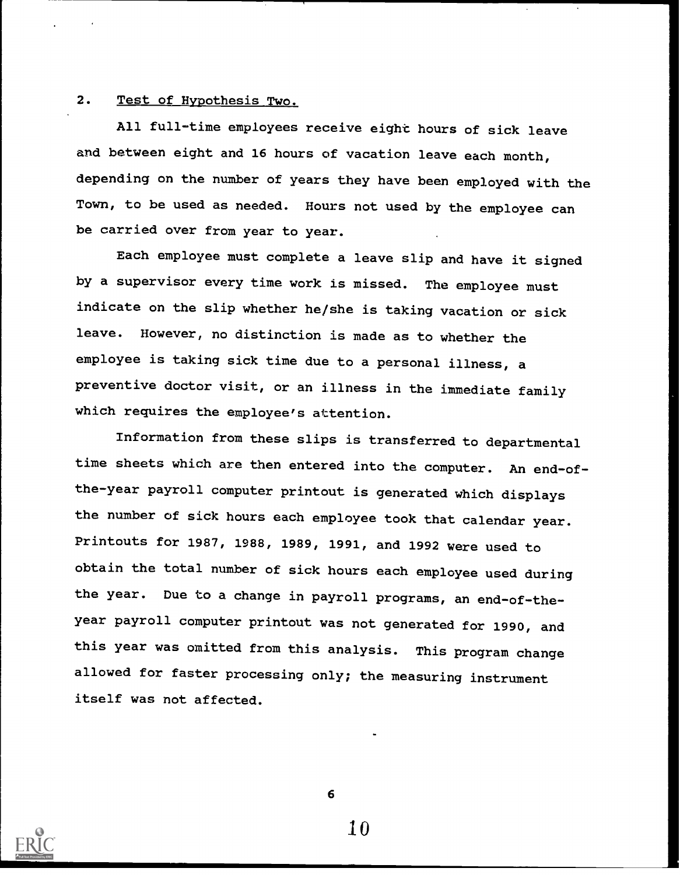## 2. Test of Hypothesis Two.

All full-time employees receive eight hours of sick leave and between eight and 16 hours of vacation leave each month, depending on the number of years they have been employed with the Town, to be used as needed. Hours not used by the employee can be carried over from year to year.

Each employee must complete a leave slip and have it signed by a supervisor every time work is missed. The employee must indicate on the slip whether he/she is taking vacation or sick leave. However, no distinction is made as to whether the employee is taking sick time due to a personal illness, a preventive doctor visit, or an illness in the immediate family which requires the employee's attention.

Information from these slips is transferred to departmental time sheets which are then entered into the computer. An end-ofthe-year payroll computer printout is generated which displays the number of sick hours each employee took that calendar year. Printouts for 1987, 1988, 1989, 1991, and 1992 were used to obtain the total number of sick hours each employee used during the year. Due to a change in payroll programs, an end-of-theyear payroll computer printout was not generated for 1990, and this year was omitted from this analysis. This program change allowed for faster processing only; the measuring instrument itself was not affected.

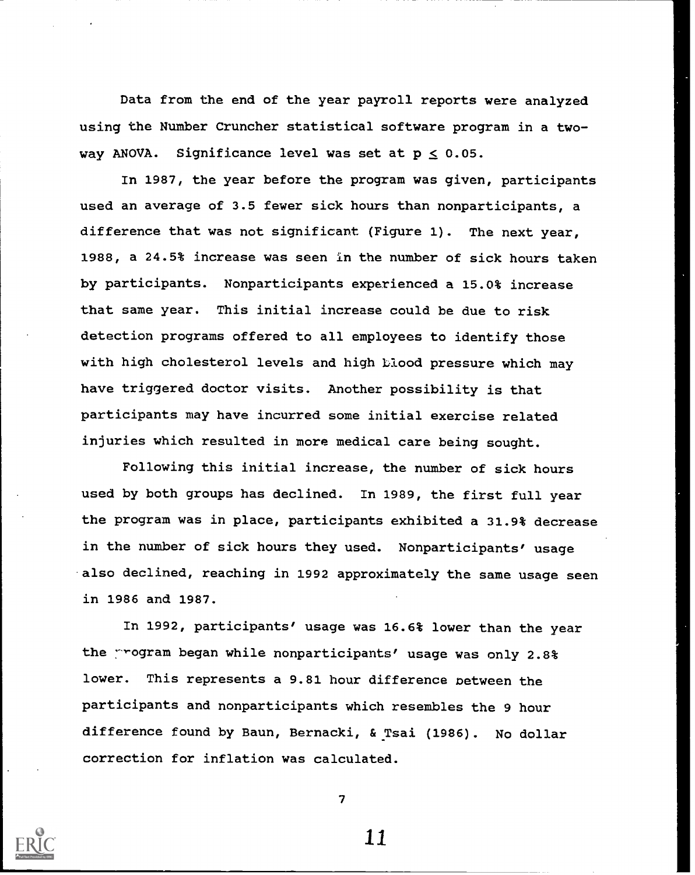Data from the end of the year payroll reports were analyzed using the Number Cruncher statistical software program in a twoway ANOVA. Significance level was set at  $p \le 0.05$ .

In 1987, the year before the program was given, participants used an average of 3.5 fewer sick hours than nonparticipants, a difference that was not significant (Figure 1). The next year, 1988, a 24.5% increase was seen in the number of sick hours taken by participants. Nonparticipants experienced a 15.0% increase that same year. This initial increase could be due to risk detection programs offered to all employees to identify those with high cholesterol levels and high blood pressure which may have triggered doctor visits. Another possibility is that participants may have incurred some initial exercise related injuries which resulted in more medical care being sought.

Following this initial increase, the number of sick hours used by both groups has declined. In 1989, the first full year the program was in place, participants exhibited a 31.9% decrease in the number of sick hours they used. Nonparticipants' usage also declined, reaching in 1992 approximately the same usage seen in 1986 and 1987.

In 1992, participants' usage was 16.6% lower than the year the program began while nonparticipants' usage was only 2.8% lower. This represents a 9.81 hour difference between the participants and nonparticipants which resembles the 9 hour difference found by Baun, Bernacki, & Tsai (1986). No dollar correction for inflation was calculated.



7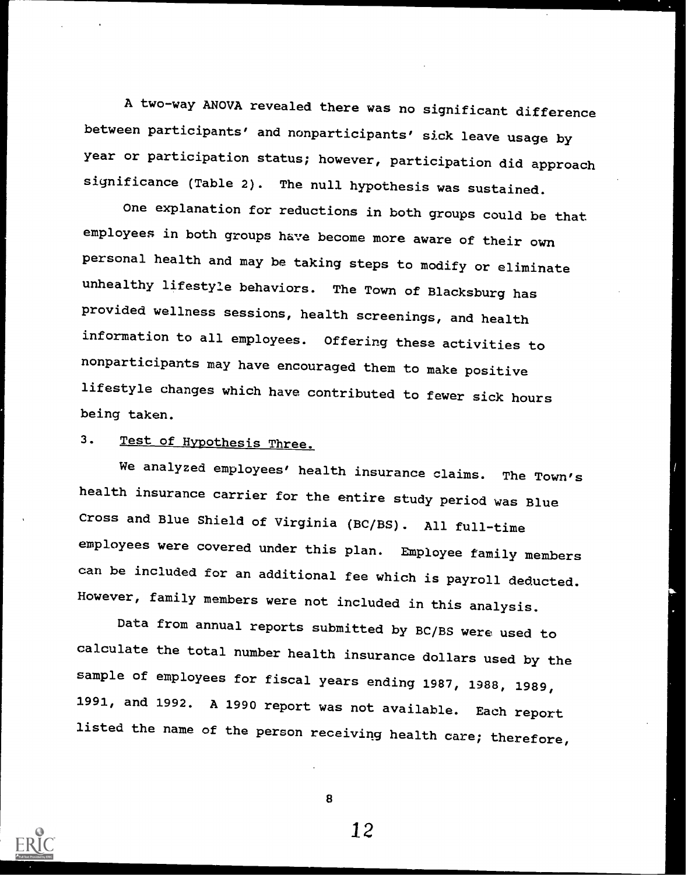A two-way ANOVA revealed there was no significant difference between participants' and nonparticipants' sick leave usage by year or participation status; however, participation did approach significance (Table 2). The null hypothesis was sustained.

One explanation for reductions in both groups could be that employees in both groups have become more aware of their own personal health and may be taking steps to modify or eliminate unhealthy lifestyle behaviors. The Town of Blacksburg has provided wellness sessions, health screenings, and health information to all employees. Offering these activities to nonparticipants may have encouraged them to make positive lifestyle changes which have contributed to fewer sick hours being taken.

# 3. Test of Hypothesis Three.

We analyzed employees' health insurance claims. The Town's health insurance carrier for the entire study period was Blue Cross and Blue Shield of Virginia (BC/BS). All full-time employees were covered under this plan. Employee family members can be included for an additional fee which is payroll deducted. However, family members were not included in this analysis.

Data from annual reports submitted by BC/BS were used to calculate the total number health insurance dollars used by the sample of employees for fiscal years ending 1987, 1988, 1989, 1991, and 1992. A 1990 report was not available. Each report listed the name of the person receiving health care; therefore,



8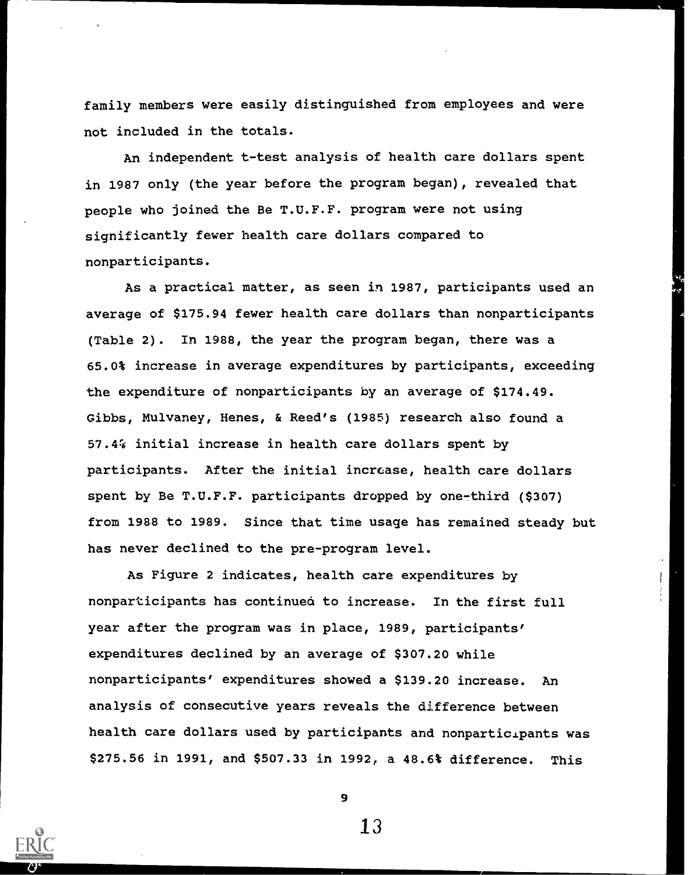family members were easily distinguished from employees and were not included in the totals.

An independent t-test analysis of health care dollars spent in 1987 only (the year before the program began), revealed that people who joined the Be T.U.F.F. program were not using significantly fewer health care dollars compared to nonparticipants.

As a practical matter, as seen in 1987, participants used an average of \$175.94 fewer health care dollars than nonparticipants (Table 2). In 1988, the year the program began, there was a 65.0% increase in average expenditures by participants, exceeding the expenditure of nonparticipants by an average of \$174.49. Gibbs, Mulvaney, Henes, & Reed's (1985) research also found a 57.4% initial increase in health care dollars spent by participants. After the initial increase, health care dollars spent by Be T.U.F.F. participants dropped by one-third (\$307) from 1988 to 1989. Since that time usage has remained steady but has never declined to the pre-program level.

As Figure 2 indicates, health care expenditures by nonparticipants has continued to increase. In the first full year after the program was in place, 1989, participants' expenditures declined by an average of \$307.20 while nonparticipants' expenditures showed a \$139.20 increase. An analysis of consecutive years reveals the difference between health care dollars used by participants and nonparticipants was \$275.56 in 1991, and \$507.33 in 1992, a 48.6% difference. This



9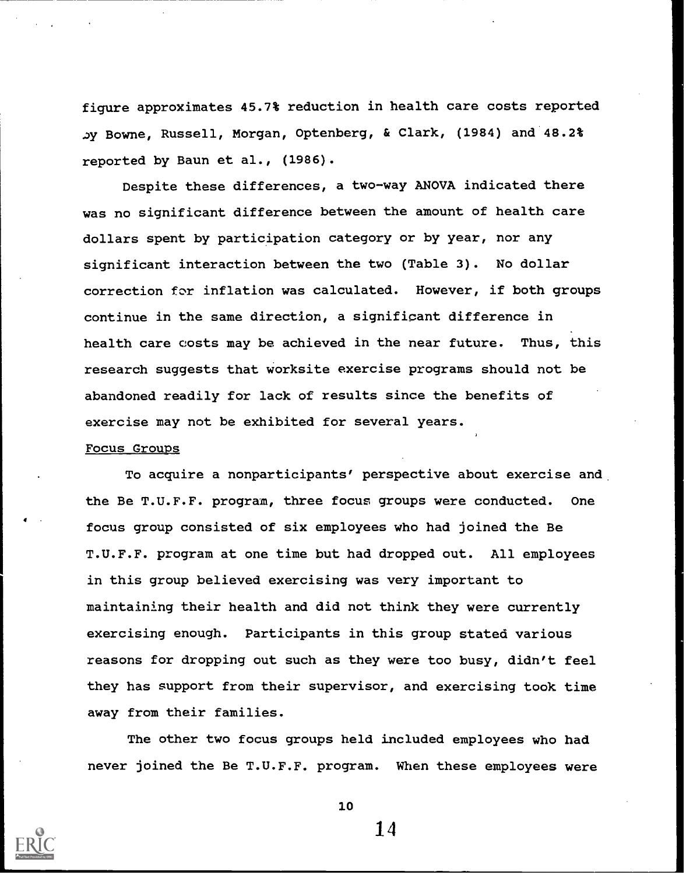figure approximates 45.7% reduction in health care costs reported Bowne, Russell, Morgan, Optenberg, & Clark, (1984) and 48.2% reported by Baun et al., (1986).

Despite these differences, a two-way ANOVA indicated there was no significant difference between the amount of health care dollars spent by participation category or by year, nor any significant interaction between the two (Table 3). No dollar correction for inflation was calculated. However, if both groups continue in the same direction, a significant difference in health care costs may be achieved in the near future. Thus, this research suggests that worksite exercise programs should not be abandoned readily for lack of results since the benefits of exercise may not be exhibited for several years.

#### Focus Groups

To acquire a nonparticipants' perspective about exercise and the Be T.U.F.F. program, three focus groups were conducted. One focus group consisted of six employees who had joined the Be T.U.F.F. program at one time but had dropped out. All employees in this group believed exercising was very important to maintaining their health and did not think they were currently exercising enough. Participants in this group stated various reasons for dropping out such as they were too busy, didn't feel they has support from their supervisor, and exercising took time away from their families.

The other two focus groups held included employees who had never joined the Be T.U.F.F. program. When these employees were



10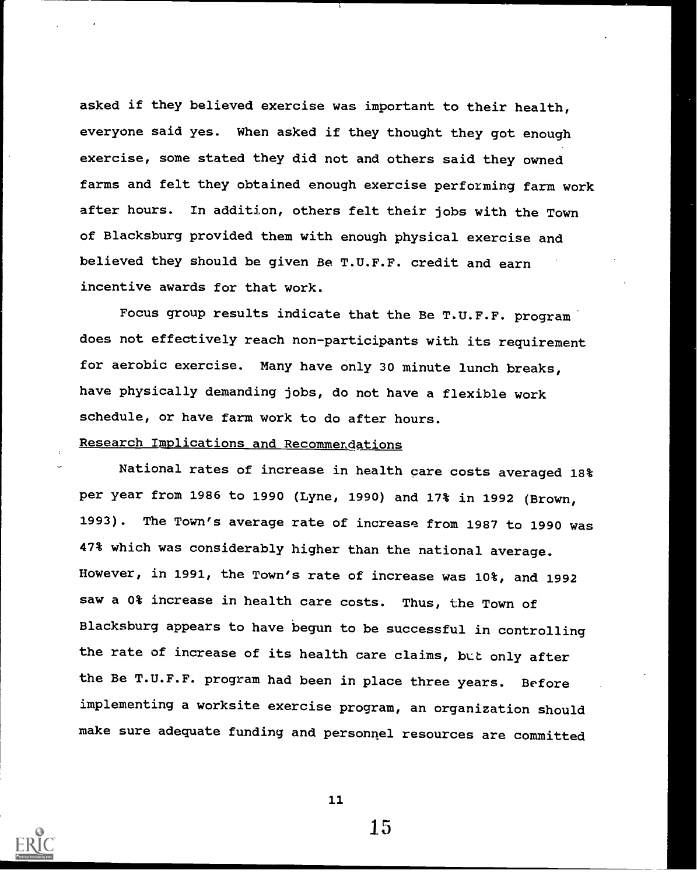asked if they believed exercise was important to their health, everyone said yes. When asked if they thought they got enough exercise, some stated they did not and others said they owned farms and felt they obtained enough exercise performing farm work after hours. In addition, others felt their jobs with the Town of Blacksburg provided them with enough physical exercise and believed they should be given Be T.U.F.F. credit and earn incentive awards for that work.

Focus group results indicate that the Be T.U.F.F. program does not effectively reach non-participants with its requirement for aerobic exercise. Many have only 30 minute lunch breaks, have physically demanding jobs, do not have a flexible work schedule, or have farm work to do after hours. Research Implications and Recommendations

National rates of increase in health care costs averaged 18% per year from 1986 to 1990 (Lyne, 1990) and 17% in 1992 (Brown, 1993). The Town's average rate of increase from 1987 to 1990 was 47% which was considerably higher than the national average. However, in 1991, the Town's rate of increase was 10%, and 1992 saw a 0% increase in health care costs. Thus, the Town of Blacksburg appears to have begun to be successful in controlling the rate of increase of its health care claims, but only after the Be T.U.F.F. program had been in place three years. Before implementing a worksite exercise program, an organization should make sure adequate funding and personnel resources are committed



11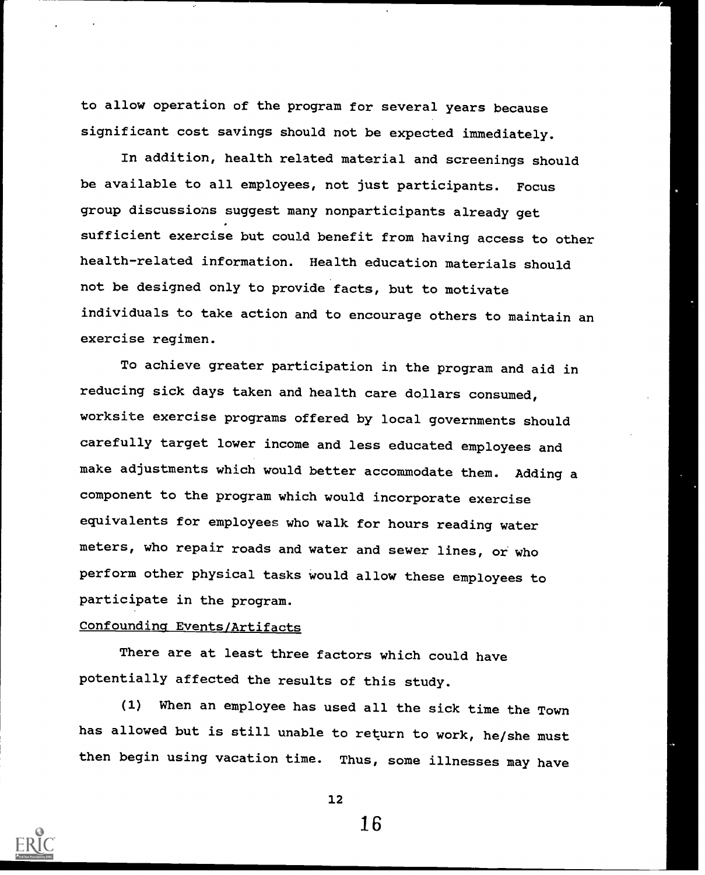to allow operation of the program for several years because significant cost savings should not be expected immediately.

In addition, health related material and screenings should be available to all employees, not just participants. Focus group discussions suggest many nonparticipants already get sufficient exercise but could benefit from having access to other health-related information. Health education materials should not be designed only to provide facts, but to motivate individuals to take action and to encourage others to maintain an exercise regimen.

To achieve greater participation in the program and aid in reducing sick days taken and health care dollars consumed, worksite exercise programs offered by local governments should carefully target lower income and less educated employees and make adjustments which would better accommodate them. Adding a component to the program which would incorporate exercise equivalents for employees who walk for hours reading water meters, who repair roads and water and sewer lines, or who perform other physical tasks would allow these employees to participate in the program.

## Confounding Events/Artifacts

There are at least three factors which could have potentially affected the results of this study.

(1) When an employee has used all the sick time the Town has allowed but is still unable to return to work, he/she must then begin using vacation time. Thus, some illnesses may have



12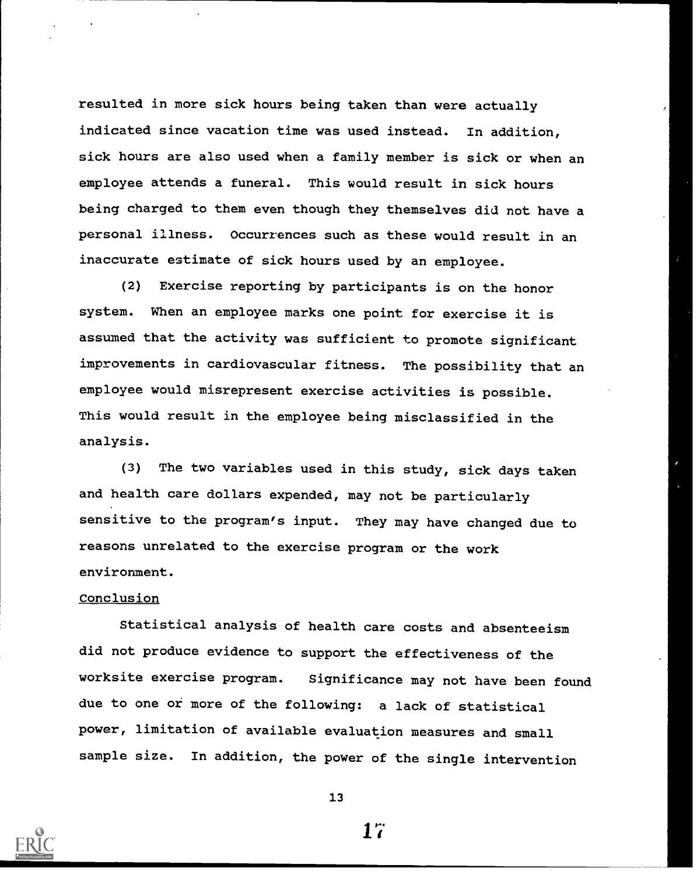resulted in more sick hours being taken than were actually indicated since vacation time was used instead. In addition, sick hours are also used when a family member is sick or when an employee attends a funeral. This would result in sick hours being charged to them even though they themselves did not have a personal illness. Occurrences such as these would result in an inaccurate estimate of sick hours used by an employee.

(2) Exercise reporting by participants is on the honor system. When an employee marks one point for exercise it is assumed that the activity was sufficient to promote significant improvements in cardiovascular fitness. The possibility that an employee would misrepresent exercise activities is possible. This would result in the employee being misclassified in the analysis.

(3) The two variables used in this study, sick days taken and health care dollars expended, may not be particularly sensitive to the program's input. They may have changed due to reasons unrelated to the exercise program or the work environment.

#### Conclusion

Statistical analysis of health care costs and absenteeism did not produce evidence to support the effectiveness of the worksite exercise program. Significance may not have been found due to one or more of the following: a lack of statistical power, limitation of available evaluation measures and small sample size. In addition, the power of the single intervention



13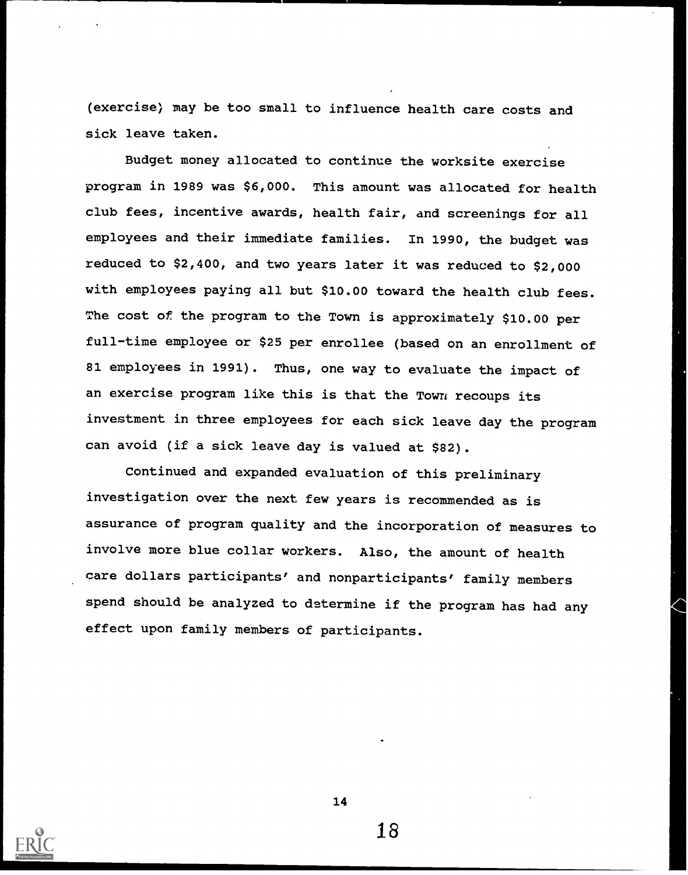(exercise) may be too small to influence health care costs and sick leave taken.

Budget money allocated to continue the worksite exercise program in 1989 was \$6,000. This amount was allocated for health club fees, incentive awards, health fair, and screenings for all employees and their immediate families. In 1990, the budget was reduced to \$2,400, and two years later it was reduced to \$2,000 with employees paying all but \$10.00 toward the health club fees. The cost of the program to the Town is approximately \$10.00 per full-time employee or \$25 per enrollee (based on an enrollment of 81 employees in 1991). Thus, one way to evaluate the impact of an exercise program like this is that the Town recoups its investment in three employees for each sick leave day the program can avoid (if a sick leave day is valued at \$82).

Continued and expanded evaluation of this preliminary investigation over the next few years is recommended as is assurance of program quality and the incorporation of measures to involve more blue collar workers. Also, the amount of health care dollars participants' and nonparticipants' family members spend should be analyzed to determine if the program has had any effect upon family members of participants.



14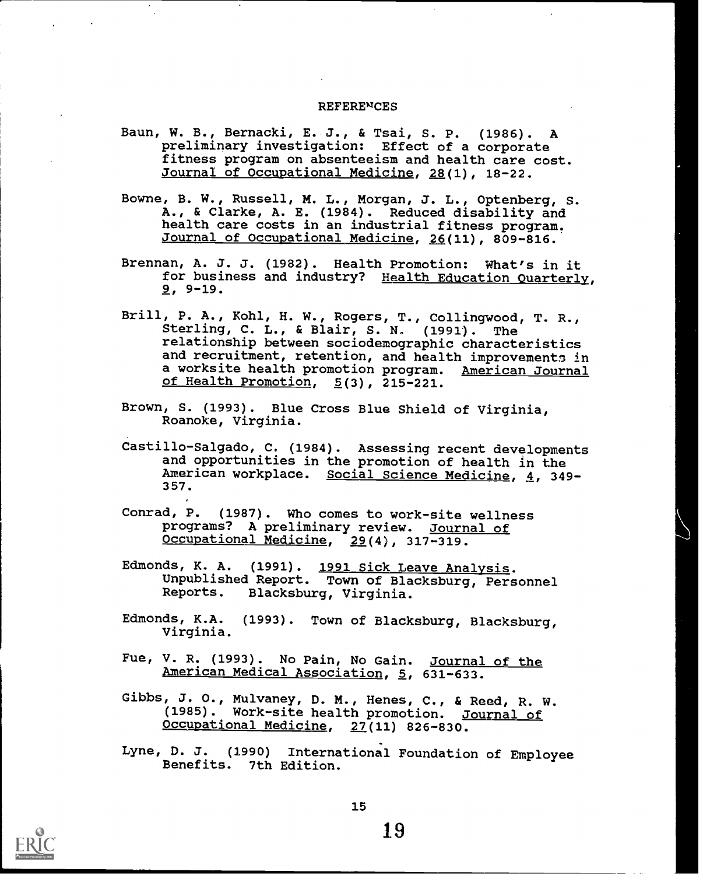#### **REFERENCES**

- Baun, W. B., Bernacki, E. J., & Tsai, S. P. (1986). A preliminary investigation: Effect of a corporate fitness program on absenteeism and health care cost. Journal of Occupational Medicine, 28(1), 18-22.
- Bowne, B. W., Russell, M. L., Morgan, J. L., Optenberg, S. A., & Clarke, A. E. (1984). Reduced disability and health care costs in an industrial fitness program. Journal of Occupational Medicine, 26(11), 809-816.
- Brennan, A. J. J. (1982). Health Promotion: What's in it for business and industry? Health Education Quarterly, 9, 9-19.
- Brill, P. A., Kohl, H. W., Rogers, T., Collingwood, T. R., Sterling, C. L., & Blair, S. N. (1991). The relationship between sociodemographic characteristics and recruitment, retention, and health improvements in a worksite health promotion program. American Journal of Health Promotion,  $5(3)$ , 215-221.
- Brown, S. (1993). Blue Cross Blue Shield of Virginia, Roanoke, Virginia.
- Castillo-Salgado, C. (1984). Assessing recent developments and opportunities in the promotion of health in the American workplace. Social Science Medicine, 4, 349-357.
- Conrad, P. (1987). Who comes to work-site wellness programs? A preliminary review. Journal of Occupational Medicine, 29(4), 317-319.
- Edmonds, K. A. (1991). 1991 Sick Leave Analysis. Unpublished Report. Town of Blacksburg, Personnel Reports. Blacksburg, Virginia.
- Edmonds, K.A. (1993). Town of Blacksburg, Blacksburg, Virginia.
- Fue, V. R. (1993). No Pain, No Gain. Journal of the American Medical Association, 5, 631-633.
- Gibbs, J. O., Mulvaney, D. M., Henes, C., & Reed, R. W. (1985). Work-site health promotion. Journal of Occupational Medicine, 27(11) 826-830.
- Lyne, D. J. (1990) International Foundation of Employee Benefits. 7th Edition.

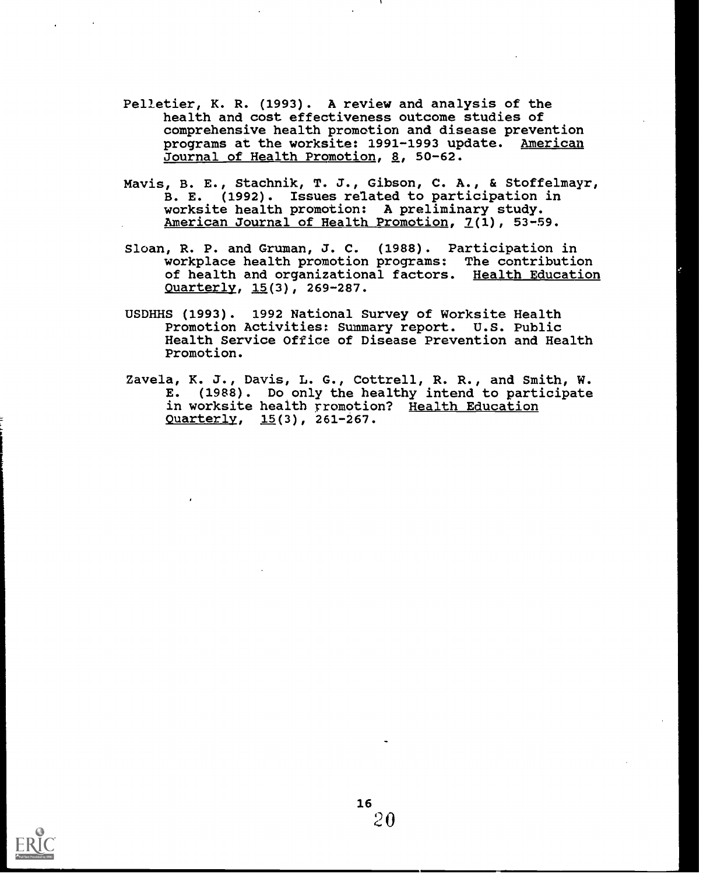- Pelletier, K. R. (1993). A review and analysis of the health and cost effectiveness outcome studies of comprehensive health promotion and disease prevention programs at the worksite: 1991-1993 update. American Journal of Health Promotion, 8, 50-62.
- Mavis, B. E., Stachnik, T. J., Gibson, C. A., & Stoffelmayr, B. E. (1992). Issues related to participation in worksite health promotion: A preliminary study. American Journal of Health Promotion, 7(1), 53-59.
- Sloan, R. P. and Gruman, J. C. (1988). Participation in workplace health promotion programs: The contribution of health and organizational factors. Health Education Quarterly, 15(3), 269-287.
- USDHHS (1993). 1992 National Survey of Worksite Health Promotion Activities: Summary report. U.S. Public Health Service Office of Disease Prevention and Health Promotion.
- Zavela, K. J., Davis, L. G., Cottrell, R. R., and Smith, W. E. (1988). Do only the healthy intend to participate in worksite health rromotion? Health Education Ouarterlv, 15(3), 261-267.

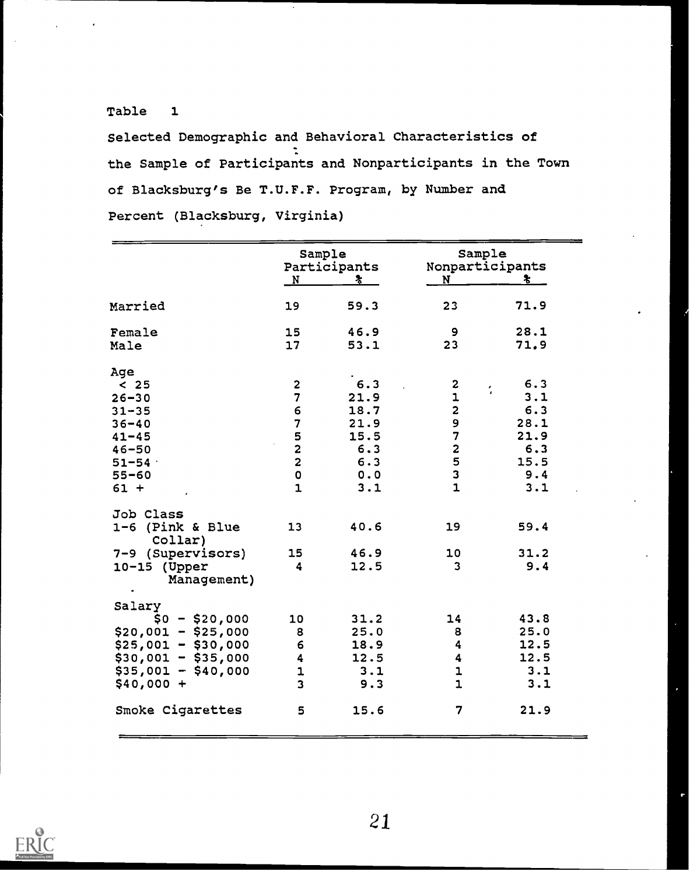# Table 1

Selected Demographic and Behavioral Characteristics of the Sample of Participants and Nonparticipants in the Town of Blacksburg's Be T.U.F.F. Program, by Number and Percent (Blacksburg, Virginia)

|                           | Sample<br>Participants<br>冬<br>$\mathbf{N}$ |      | Sample<br>Nonparticipants<br>N<br>÷. |                |
|---------------------------|---------------------------------------------|------|--------------------------------------|----------------|
| Married                   | 19                                          | 59.3 | 23                                   | 71.9           |
| Female                    | 15                                          | 46.9 | 9                                    | 28.1           |
| Male                      | 17                                          | 53.1 | 23                                   | 71.9           |
| Age                       |                                             |      |                                      |                |
| $\mathbf{<}\ \mathbf{25}$ | $\overline{c}$                              | 6.3  | 2                                    | 6.3<br>$\cdot$ |
| $26 - 30$                 | $\overline{\mathbf{z}}$                     | 21.9 | $\mathbf{1}$                         | 3.1            |
| $31 - 35$                 | 6                                           | 18.7 | $\overline{\mathbf{c}}$              | 6.3            |
| $36 - 40$                 | $\overline{7}$                              | 21.9 | 9                                    | 28.1           |
| $41 - 45$                 | $\frac{5}{2}$                               | 15.5 | $\overline{7}$                       | 21.9           |
| $46 - 50$                 |                                             | 6.3  | $\overline{\mathbf{c}}$              | 6.3            |
| $51 - 54$                 | $\overline{\mathbf{c}}$                     | 6.3  | 5                                    | 15.5           |
| $55 - 60$                 | $\pmb{\mathsf{O}}$                          | 0.0  | 3                                    | 9.4            |
| $61 +$                    | $\mathbf{1}$                                | 3.1  | $\mathbf{1}$                         | 3.1            |
| Job Class                 |                                             |      |                                      |                |
| 1-6 (Pink & Blue          | 13                                          | 40.6 | 19                                   | 59.4           |
| Collar)                   |                                             |      |                                      |                |
| 7-9 (Supervisors)         | 15                                          | 46.9 | 10                                   | 31.2           |
| $10-15$ (Upper            | 4                                           | 12.5 | $\overline{\mathbf{3}}$              | 9.4            |
| Management)               |                                             |      |                                      |                |
| Salary                    |                                             |      |                                      |                |
| $$0 - $20,000$            | 10                                          | 31.2 | 14                                   | 43.8           |
| $$20,001 - $25,000$       | 8                                           | 25.0 | 8                                    | 25.0           |
| $$25,001 - $30,000$       | 6                                           | 18.9 | 4                                    | 12.5           |
| $$30,001 - $35,000$       | 4                                           | 12.5 | 4                                    | 12.5           |
| $$35,001 - $40,000$       | $\mathbf 1$                                 | 3.1  | $\mathbf 1$                          | 3.1            |
| $$40,000 +$               | $\overline{\mathbf{3}}$                     | 9.3  | $\overline{\mathbf{1}}$              | 3.1            |
| Smoke Cigarettes          | 5                                           | 15.6 | 7                                    | 21.9           |

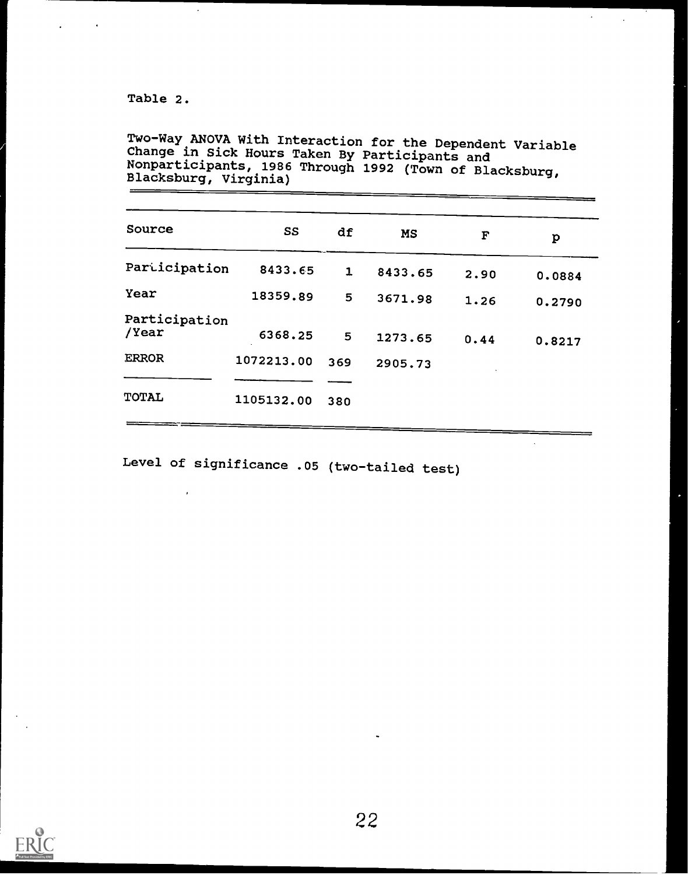Table 2.

 $\lambda$ 

 $\sim$ 

Two-Way ANOVA With Interaction for the Dependent Variable<br>Change in Sick Houwe Tabour Delities Change in Sick Hours Taken By Participants and Nonparticipants, 1986 Through 1992 (Town of Blacksburg, Blacksburg, Virginia)

 $\sigma_{\rm{max}}=1$ 

 $\Delta$  .

| Source                 | SS         | df  | <b>MS</b> | F    | p      |
|------------------------|------------|-----|-----------|------|--------|
| Participation          | 8433.65    | 1   | 8433.65   | 2.90 | 0.0884 |
| Year                   | 18359.89   | 5   | 3671.98   | 1.26 | 0.2790 |
| Participation<br>/Year | 6368.25    | 5   | 1273.65   | 0.44 | 0.8217 |
| <b>ERROR</b>           | 1072213.00 | 369 | 2905.73   |      |        |
| TOTAL                  | 1105132.00 | 380 |           |      |        |

Level of significance .05 (two-tailed test)

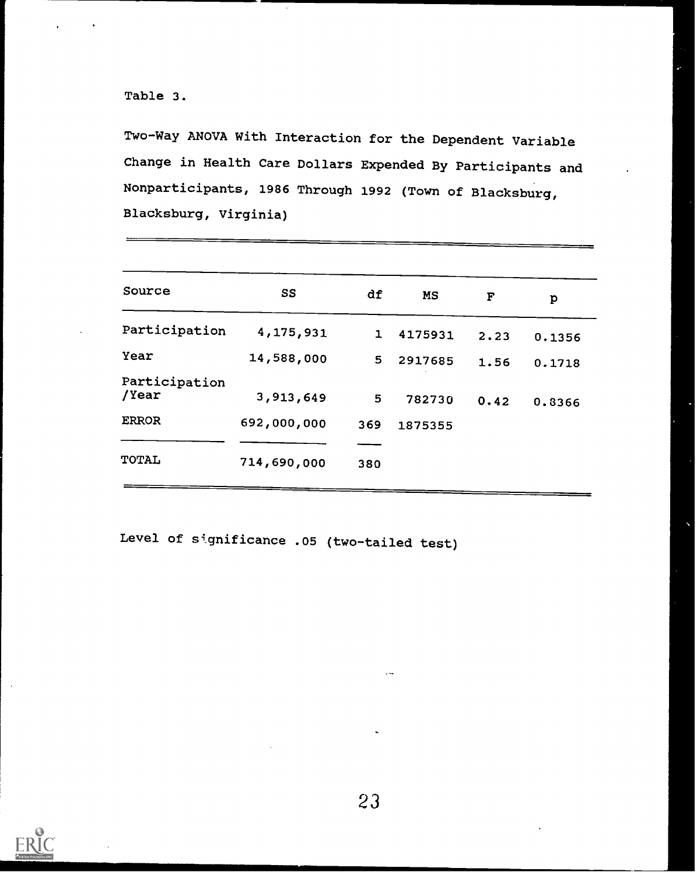## Table 3.

Two-Way ANOVA With Interaction for the Dependent Variable Change in Health Care Dollars Expended By Participants and Nonparticipants, 1986 Through 1992 (Town of Blacksburg, Blacksburg, Virginia)

| Source                 | SS          | df           | MS      | F    | p      |
|------------------------|-------------|--------------|---------|------|--------|
| Participation          | 4,175,931   | $\mathbf{1}$ | 4175931 | 2.23 | 0.1356 |
| Year                   | 14,588,000  | 5.           | 2917685 | 1.56 | 0.1718 |
| Participation<br>/Year | 3,913,649   | 5            | 782730  | 0.42 | 0.8366 |
| <b>ERROR</b>           | 692,000,000 | 369          | 1875355 |      |        |
|                        |             |              |         |      |        |
| <b>TOTAL</b>           | 714,690,000 | 380          |         |      |        |
|                        |             |              |         |      |        |

Level of significance .05 (two-tailed test)

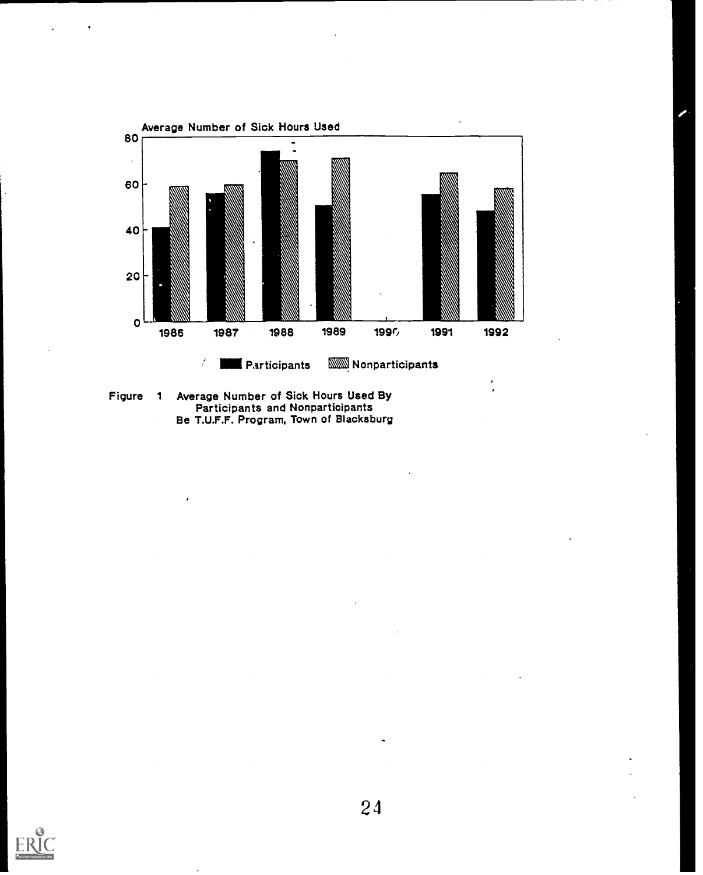

Figure <sup>1</sup> Average Number of Sick Hours Used By Participants and Nonparticipants Be T.U.F.F. Program, Town of Blacksburg